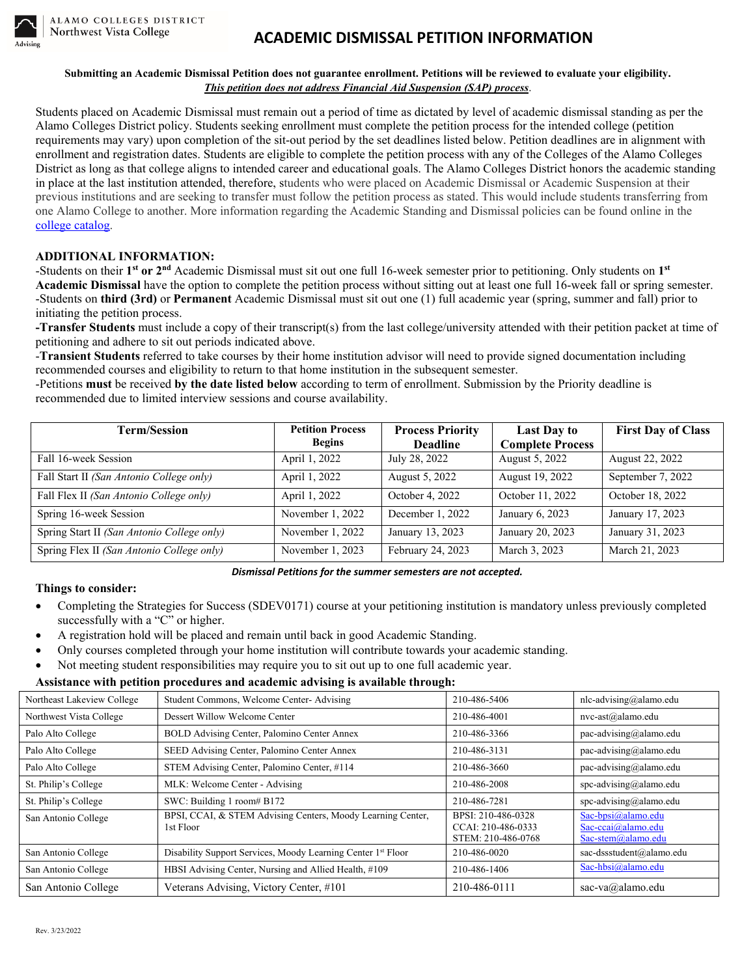# **ACADEMIC DISMISSAL PETITION INFORMATION**

#### **Submitting an Academic Dismissal Petition does not guarantee enrollment. Petitions will be reviewed to evaluate your eligibility.** *This petition does not address Financial Aid Suspension (SAP) process*.

Students placed on Academic Dismissal must remain out a period of time as dictated by level of academic dismissal standing as per the Alamo Colleges District policy. Students seeking enrollment must complete the petition process for the intended college (petition requirements may vary) upon completion of the sit-out period by the set deadlines listed below. Petition deadlines are in alignment with enrollment and registration dates. Students are eligible to complete the petition process with any of the Colleges of the Alamo Colleges District as long as that college aligns to intended career and educational goals. The Alamo Colleges District honors the academic standing in place at the last institution attended, therefore, students who were placed on Academic Dismissal or Academic Suspension at their previous institutions and are seeking to transfer must follow the petition process as stated. This would include students transferring from one Alamo College to another. More information regarding the Academic Standing and Dismissal policies can be found online in the [college catalog.](https://mynvccatalog.alamo.edu/content.php?catoid=218&navoid=15935#Academic_Standing_and_Probation)

#### **ADDITIONAL INFORMATION:**

-Students on their **1st or 2nd** Academic Dismissal must sit out one full 16-week semester prior to petitioning. Only students on **1st Academic Dismissal** have the option to complete the petition process without sitting out at least one full 16-week fall or spring semester. -Students on **third (3rd)** or **Permanent** Academic Dismissal must sit out one (1) full academic year (spring, summer and fall) prior to initiating the petition process.

**-Transfer Students** must include a copy of their transcript(s) from the last college/university attended with their petition packet at time of petitioning and adhere to sit out periods indicated above.

-**Transient Students** referred to take courses by their home institution advisor will need to provide signed documentation including recommended courses and eligibility to return to that home institution in the subsequent semester.

-Petitions **must** be received **by the date listed below** according to term of enrollment. Submission by the Priority deadline is recommended due to limited interview sessions and course availability.

| <b>Term/Session</b>                        | <b>Petition Process</b><br><b>Begins</b> | <b>Process Priority</b><br><b>Deadline</b> | <b>Last Day to</b><br><b>Complete Process</b> | <b>First Day of Class</b> |
|--------------------------------------------|------------------------------------------|--------------------------------------------|-----------------------------------------------|---------------------------|
| Fall 16-week Session                       | April 1, 2022                            | July 28, 2022                              | August 5, 2022                                | August 22, 2022           |
| Fall Start II (San Antonio College only)   | April 1, 2022                            | August 5, 2022                             | August 19, 2022                               | September 7, 2022         |
| Fall Flex II (San Antonio College only)    | April 1, 2022                            | October 4, 2022                            | October 11, 2022                              | October 18, 2022          |
| Spring 16-week Session                     | November 1, 2022                         | December 1, 2022                           | January 6, 2023                               | January 17, 2023          |
| Spring Start II (San Antonio College only) | November 1, 2022                         | January 13, 2023                           | January 20, 2023                              | January 31, 2023          |
| Spring Flex II (San Antonio College only)  | November 1, 2023                         | February 24, 2023                          | March 3, 2023                                 | March 21, 2023            |

*Dismissal Petitions for the summer semesters are not accepted.*

#### **Things to consider:**

- Completing the Strategies for Success (SDEV0171) course at your petitioning institution is mandatory unless previously completed successfully with a "C" or higher.
- A registration hold will be placed and remain until back in good Academic Standing.
- Only courses completed through your home institution will contribute towards your academic standing.
- Not meeting student responsibilities may require you to sit out up to one full academic year.

#### **Assistance with petition procedures and academic advising is available through:**

| Northeast Lakeview College | Student Commons, Welcome Center-Advising                                 | 210-486-5406                                                   | nlc-advising@alamo.edu                                             |
|----------------------------|--------------------------------------------------------------------------|----------------------------------------------------------------|--------------------------------------------------------------------|
| Northwest Vista College    | Dessert Willow Welcome Center                                            | 210-486-4001                                                   | $nvc-ast@alamo.edu$                                                |
| Palo Alto College          | BOLD Advising Center, Palomino Center Annex                              | 210-486-3366                                                   | pac-advising@alamo.edu                                             |
| Palo Alto College          | SEED Advising Center, Palomino Center Annex                              | 210-486-3131                                                   | pac-advising@alamo.edu                                             |
| Palo Alto College          | STEM Advising Center, Palomino Center, #114                              | 210-486-3660                                                   | pac-advising@alamo.edu                                             |
| St. Philip's College       | MLK: Welcome Center - Advising                                           | 210-486-2008                                                   | spc-advising@alamo.edu                                             |
| St. Philip's College       | SWC: Building 1 room# B172                                               | 210-486-7281                                                   | spc-advising@alamo.edu                                             |
| San Antonio College        | BPSI, CCAI, & STEM Advising Centers, Moody Learning Center,<br>1st Floor | BPSI: 210-486-0328<br>CCAI: 210-486-0333<br>STEM: 210-486-0768 | Sac-bpsi $@$ alamo.edu<br>Sac-ccai@alamo.edu<br>Sac-stem@alamo.edu |
| San Antonio College        | Disability Support Services, Moody Learning Center 1 <sup>st</sup> Floor | 210-486-0020                                                   | sac-dssstudent@alamo.edu                                           |
| San Antonio College        | HBSI Advising Center, Nursing and Allied Health, #109                    | 210-486-1406                                                   | Sac-hbsi@alamo.edu                                                 |
| San Antonio College        | Veterans Advising, Victory Center, #101                                  | 210-486-0111                                                   | sac-va@alamo.edu                                                   |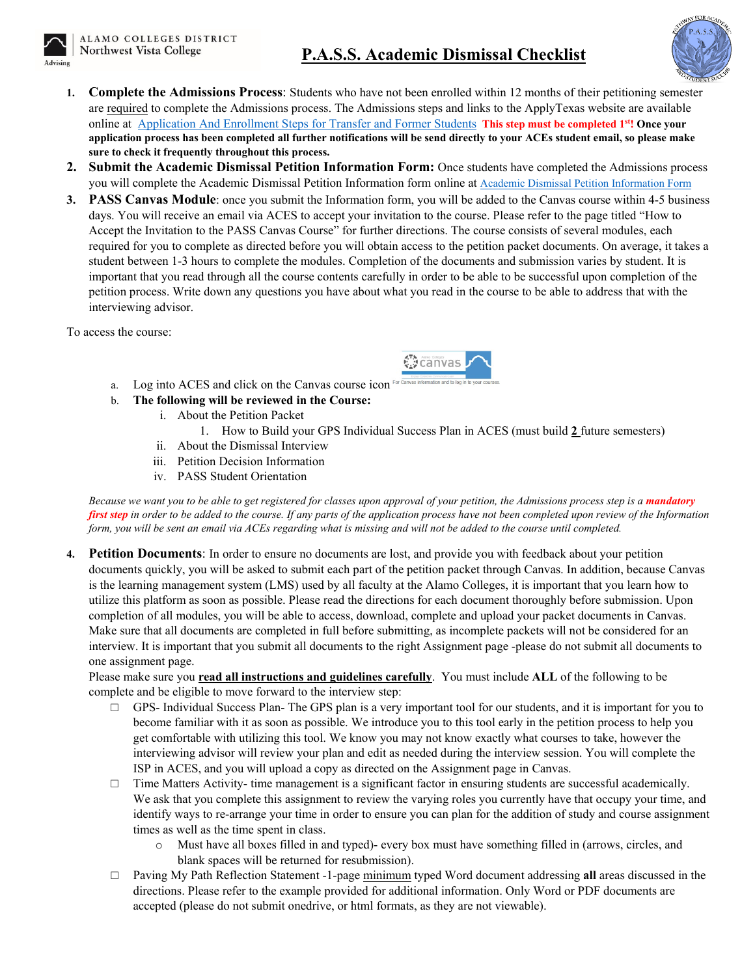# **P.A.S.S. Academic Dismissal Checklist**



- **1. Complete the Admissions Process**: Students who have not been enrolled within 12 months of their petitioning semester are required to complete the Admissions process. The Admissions steps and links to the ApplyTexas website are available online at [Application And Enrollment Steps for Transfer and Former Students](https://www.alamo.edu/nvc/admissions-and-aid/how-to-apply/transfer/enrollment/) **This step must be completed 1st! Once your application process has been completed all further notifications will be send directly to your ACEs student email, so please make sure to check it frequently throughout this process.**
- **2. Submit the Academic Dismissal Petition Information Form:** Once students have completed the Admissions process you will complete the Academic Dismissal Petition Information form online a[t Academic Dismissal Petition Information Form](https://alamonvc.qualtrics.com/jfe/form/SV_5o8Bd2gm1foaR38)
- **3. PASS Canvas Module**: once you submit the Information form, you will be added to the Canvas course within 4-5 business days. You will receive an email via ACES to accept your invitation to the course. Please refer to the page titled "How to Accept the Invitation to the PASS Canvas Course" for further directions. The course consists of several modules, each required for you to complete as directed before you will obtain access to the petition packet documents. On average, it takes a student between 1-3 hours to complete the modules. Completion of the documents and submission varies by student. It is important that you read through all the course contents carefully in order to be able to be successful upon completion of the petition process. Write down any questions you have about what you read in the course to be able to address that with the interviewing advisor.

To access the course:



- a. Log into ACES and click on the Canvas course icon
- b. **The following will be reviewed in the Course:**
	- i. About the Petition Packet
		- 1. How to Build your GPS Individual Success Plan in ACES (must build **2** future semesters)
	- ii. About the Dismissal Interview
	- iii. Petition Decision Information
	- iv. PASS Student Orientation

*Because we want you to be able to get registered for classes upon approval of your petition, the Admissions process step is a mandatory first step in order to be added to the course. If any parts of the application process have not been completed upon review of the Information form, you will be sent an email via ACEs regarding what is missing and will not be added to the course until completed.* 

**4. Petition Documents**: In order to ensure no documents are lost, and provide you with feedback about your petition documents quickly, you will be asked to submit each part of the petition packet through Canvas. In addition, because Canvas is the learning management system (LMS) used by all faculty at the Alamo Colleges, it is important that you learn how to utilize this platform as soon as possible. Please read the directions for each document thoroughly before submission. Upon completion of all modules, you will be able to access, download, complete and upload your packet documents in Canvas. Make sure that all documents are completed in full before submitting, as incomplete packets will not be considered for an interview. It is important that you submit all documents to the right Assignment page -please do not submit all documents to one assignment page.

Please make sure you **read all instructions and guidelines carefully**. You must include **ALL** of the following to be complete and be eligible to move forward to the interview step:

- $\Box$  GPS- Individual Success Plan- The GPS plan is a very important tool for our students, and it is important for you to become familiar with it as soon as possible. We introduce you to this tool early in the petition process to help you get comfortable with utilizing this tool. We know you may not know exactly what courses to take, however the interviewing advisor will review your plan and edit as needed during the interview session. You will complete the ISP in ACES, and you will upload a copy as directed on the Assignment page in Canvas.
- $\Box$  Time Matters Activity- time management is a significant factor in ensuring students are successful academically. We ask that you complete this assignment to review the varying roles you currently have that occupy your time, and identify ways to re-arrange your time in order to ensure you can plan for the addition of study and course assignment times as well as the time spent in class.
	- Must have all boxes filled in and typed)- every box must have something filled in (arrows, circles, and blank spaces will be returned for resubmission).
- □ Paving My Path Reflection Statement -1-page minimum typed Word document addressing **all** areas discussed in the directions. Please refer to the example provided for additional information. Only Word or PDF documents are accepted (please do not submit onedrive, or html formats, as they are not viewable).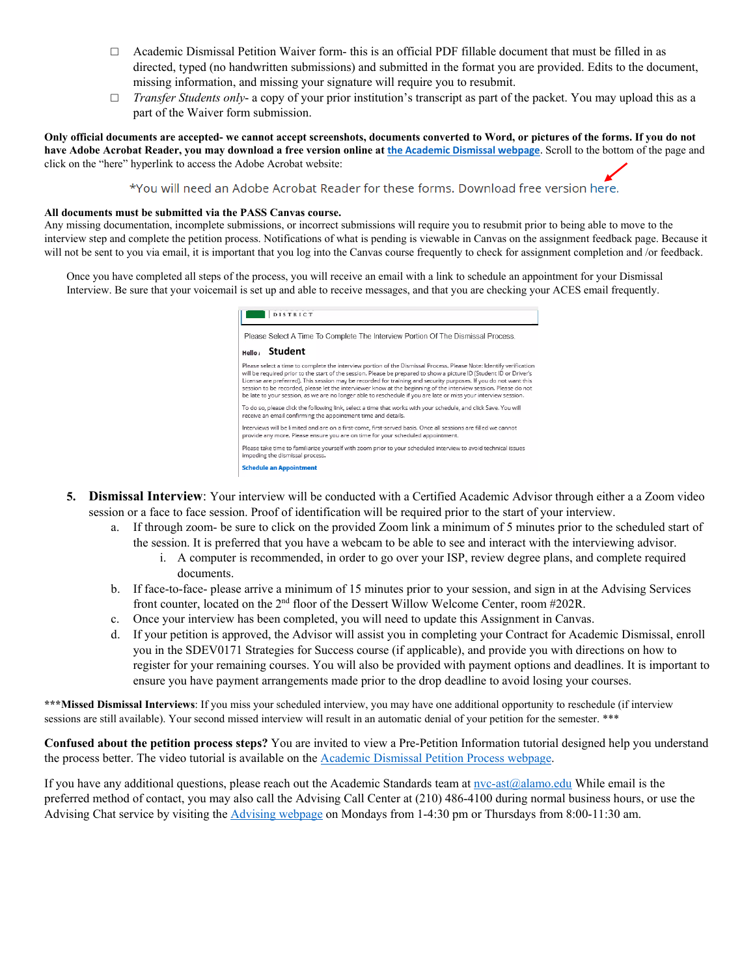- $\Box$  Academic Dismissal Petition Waiver form- this is an official PDF fillable document that must be filled in as directed, typed (no handwritten submissions) and submitted in the format you are provided. Edits to the document, missing information, and missing your signature will require you to resubmit.
- □ *Transfer Students only* a copy of your prior institution's transcript as part of the packet. You may upload this as a part of the Waiver form submission.

**Only official documents are accepted- we cannot accept screenshots, documents converted to Word, or pictures of the forms. If you do not have Adobe Acrobat Reader, you may download a free version online at [the Academic Dismissal webpage](https://www.alamo.edu/nvc/experience-nvc/current-students/academic-advising/academic-standards/academic-dismissal/)**. Scroll to the bottom of the page and click on the "here" hyperlink to access the Adobe Acrobat website:

\*You will need an Adobe Acrobat Reader for these forms. Download free version here.

#### **All documents must be submitted via the PASS Canvas course.**

Any missing documentation, incomplete submissions, or incorrect submissions will require you to resubmit prior to being able to move to the interview step and complete the petition process. Notifications of what is pending is viewable in Canvas on the assignment feedback page. Because it will not be sent to you via email, it is important that you log into the Canvas course frequently to check for assignment completion and /or feedback.

Once you have completed all steps of the process, you will receive an email with a link to schedule an appointment for your Dismissal Interview. Be sure that your voicemail is set up and able to receive messages, and that you are checking your ACES email frequently.

| DISTRICT                                                                                                                                                                                                                                                                                                                                                                                                                                                                                                                                                                                              |
|-------------------------------------------------------------------------------------------------------------------------------------------------------------------------------------------------------------------------------------------------------------------------------------------------------------------------------------------------------------------------------------------------------------------------------------------------------------------------------------------------------------------------------------------------------------------------------------------------------|
| Please Select A Time To Complete The Interview Portion Of The Dismissal Process.                                                                                                                                                                                                                                                                                                                                                                                                                                                                                                                      |
| <b>Student</b><br>Hello,                                                                                                                                                                                                                                                                                                                                                                                                                                                                                                                                                                              |
| Please select a time to complete the interview portion of the Dismissal Process. Please Note: Identify verification<br>will be required prior to the start of the session. Please be prepared to show a picture ID (Student ID or Driver's<br>License are preferred). This session may be recorded for training and security purposes. If you do not want this<br>session to be recorded, please let the interviewer know at the beginning of the interview session. Please do not<br>be late to your session, as we are no longer able to reschedule if you are late or miss your interview session. |
| To do so, please click the following link, select a time that works with your schedule, and click Save. You will<br>receive an email confirming the appointment time and details.                                                                                                                                                                                                                                                                                                                                                                                                                     |
| Interviews will be limited and are on a first-come, first-served basis. Once all sessions are filled we cannot<br>provide any more. Please ensure you are on time for your scheduled appointment,                                                                                                                                                                                                                                                                                                                                                                                                     |
| Please take time to familiarize yourself with zoom prior to your scheduled interview to avoid technical issues<br>impeding the dismissal process.                                                                                                                                                                                                                                                                                                                                                                                                                                                     |
| <b>Schedule an Appointment</b>                                                                                                                                                                                                                                                                                                                                                                                                                                                                                                                                                                        |

- **5. Dismissal Interview**: Your interview will be conducted with a Certified Academic Advisor through either a a Zoom video session or a face to face session. Proof of identification will be required prior to the start of your interview.
	- a. If through zoom- be sure to click on the provided Zoom link a minimum of 5 minutes prior to the scheduled start of the session. It is preferred that you have a webcam to be able to see and interact with the interviewing advisor.
		- i. A computer is recommended, in order to go over your ISP, review degree plans, and complete required documents.
	- b. If face-to-face- please arrive a minimum of 15 minutes prior to your session, and sign in at the Advising Services front counter, located on the 2<sup>nd</sup> floor of the Dessert Willow Welcome Center, room #202R.
	- c. Once your interview has been completed, you will need to update this Assignment in Canvas.
	- d. If your petition is approved, the Advisor will assist you in completing your Contract for Academic Dismissal, enroll you in the SDEV0171 Strategies for Success course (if applicable), and provide you with directions on how to register for your remaining courses. You will also be provided with payment options and deadlines. It is important to ensure you have payment arrangements made prior to the drop deadline to avoid losing your courses.

**\*\*\*Missed Dismissal Interviews**: If you miss your scheduled interview, you may have one additional opportunity to reschedule (if interview sessions are still available). Your second missed interview will result in an automatic denial of your petition for the semester. \*\*\*

**Confused about the petition process steps?** You are invited to view a Pre-Petition Information tutorial designed help you understand the process better. The video tutorial is available on the [Academic Dismissal Petition Process webpage.](https://www.alamo.edu/nvc/experience-nvc/current-students/academic-advising/academic-standards/academic-dismissal/academic-dismissal-petition-packet/) 

If you have any additional questions, please reach out the Academic Standards team at nvc-ast $(\partial_{\alpha})$ alamo.edu While email is the preferred method of contact, you may also call the Advising Call Center at (210) 486-4100 during normal business hours, or use the Advising Chat service by visiting the [Advising webpage](https://www.alamo.edu/nvc/experience-nvc/current-students/academic-advising/academic-standards/academic-probation/) on Mondays from 1-4:30 pm or Thursdays from 8:00-11:30 am.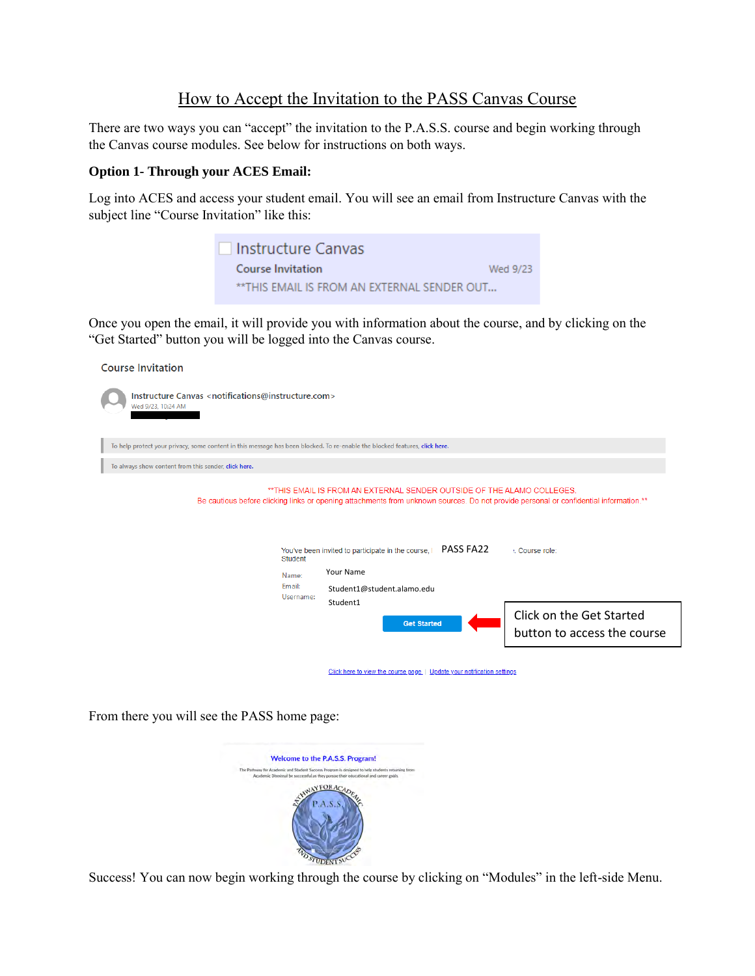# How to Accept the Invitation to the PASS Canvas Course

There are two ways you can "accept" the invitation to the P.A.S.S. course and begin working through the Canvas course modules. See below for instructions on both ways.

### **Option 1- Through your ACES Email:**

Log into ACES and access your student email. You will see an email from Instructure Canvas with the subject line "Course Invitation" like this:



Once you open the email, it will provide you with information about the course, and by clicking on the "Get Started" button you will be logged into the Canvas course.

| <b>Course Invitation</b>                                                                                                                                                                                                                                                                                                                                                                                                        |
|---------------------------------------------------------------------------------------------------------------------------------------------------------------------------------------------------------------------------------------------------------------------------------------------------------------------------------------------------------------------------------------------------------------------------------|
| Instructure Canvas <notifications@instructure.com><br/>Wed 9/23, 10:24 AM</notifications@instructure.com>                                                                                                                                                                                                                                                                                                                       |
| To help protect your privacy, some content in this message has been blocked. To re-enable the blocked features, click here.                                                                                                                                                                                                                                                                                                     |
| To always show content from this sender, click here.                                                                                                                                                                                                                                                                                                                                                                            |
| **THIS EMAIL IS FROM AN EXTERNAL SENDER OUTSIDE OF THE ALAMO COLLEGES.<br>Be cautious before clicking links or opening attachments from unknown sources. Do not provide personal or confidential information. <sup>**</sup><br><b>PASS FA22</b><br>You've been invited to participate in the course,<br>: Course role:<br><b>Student</b><br>Your Name<br>Name:<br>Email:<br>Student1@student.alamo.edu<br>Username:<br>Student1 |
| Click on the Get Started<br><b>Get Started</b><br>button to access the course                                                                                                                                                                                                                                                                                                                                                   |
| Click here to view the course page   Update your notification settings                                                                                                                                                                                                                                                                                                                                                          |

From there you will see the PASS home page:



Success! You can now begin working through the course by clicking on "Modules" in the left-side Menu.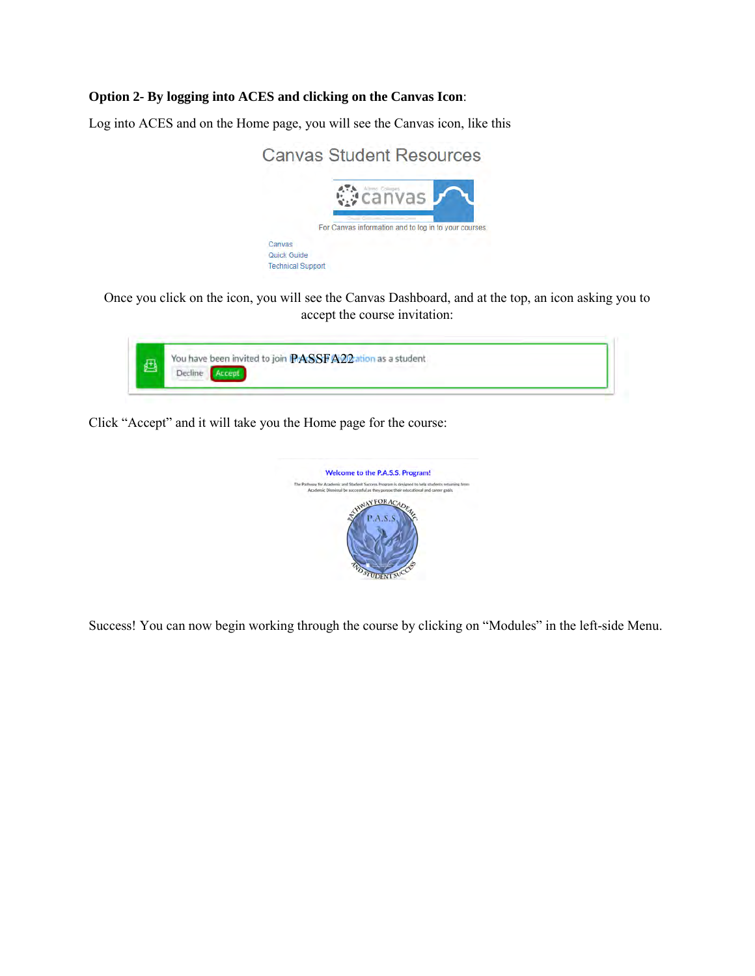## **Option 2- By logging into ACES and clicking on the Canvas Icon**:

Log into ACES and on the Home page, you will see the Canvas icon, like this



Once you click on the icon, you will see the Canvas Dashboard, and at the top, an icon asking you to accept the course invitation:



Click "Accept" and it will take you the Home page for the course:



Success! You can now begin working through the course by clicking on "Modules" in the left-side Menu.